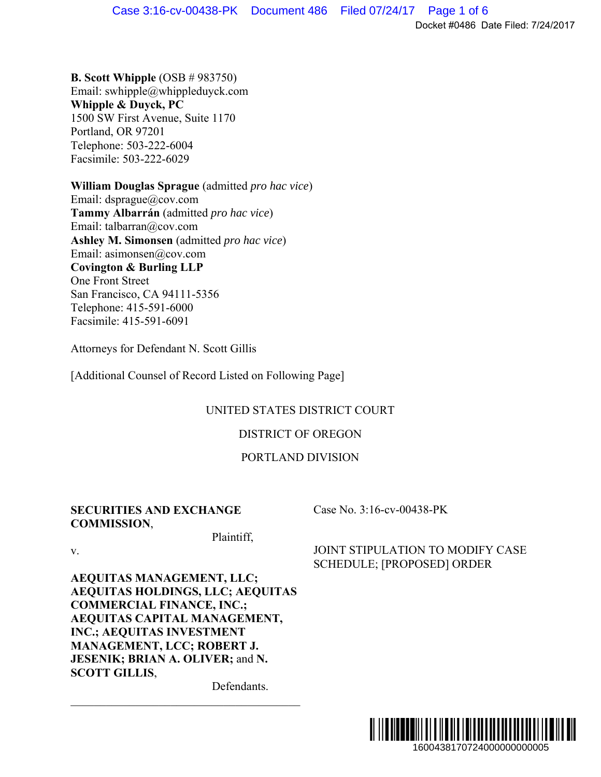**B. Scott Whipple** (OSB # 983750) Email: swhipple@whippleduyck.com **Whipple & Duyck, PC**  1500 SW First Avenue, Suite 1170 Portland, OR 97201 Telephone: 503-222-6004 Facsimile: 503-222-6029

**William Douglas Sprague** (admitted *pro hac vice*) Email: dsprague@cov.com **Tammy Albarrán** (admitted *pro hac vice*) Email: talbarran@cov.com **Ashley M. Simonsen** (admitted *pro hac vice*) Email: asimonsen@cov.com **Covington & Burling LLP**  One Front Street San Francisco, CA 94111-5356 Telephone: 415-591-6000 Facsimile: 415-591-6091

Attorneys for Defendant N. Scott Gillis

[Additional Counsel of Record Listed on Following Page]

### UNITED STATES DISTRICT COURT

### DISTRICT OF OREGON

### PORTLAND DIVISION

### **SECURITIES AND EXCHANGE COMMISSION**,

Case No. 3:16-cv-00438-PK

v.

**AEQUITAS MANAGEMENT, LLC; AEQUITAS HOLDINGS, LLC; AEQUITAS COMMERCIAL FINANCE, INC.; AEQUITAS CAPITAL MANAGEMENT, INC.; AEQUITAS INVESTMENT MANAGEMENT, LCC; ROBERT J. JESENIK; BRIAN A. OLIVER;** and **N. SCOTT GILLIS**,

Defendants.

Plaintiff,

JOINT STIPULATION TO MODIFY CASE SCHEDULE; [PROPOSED] ORDER

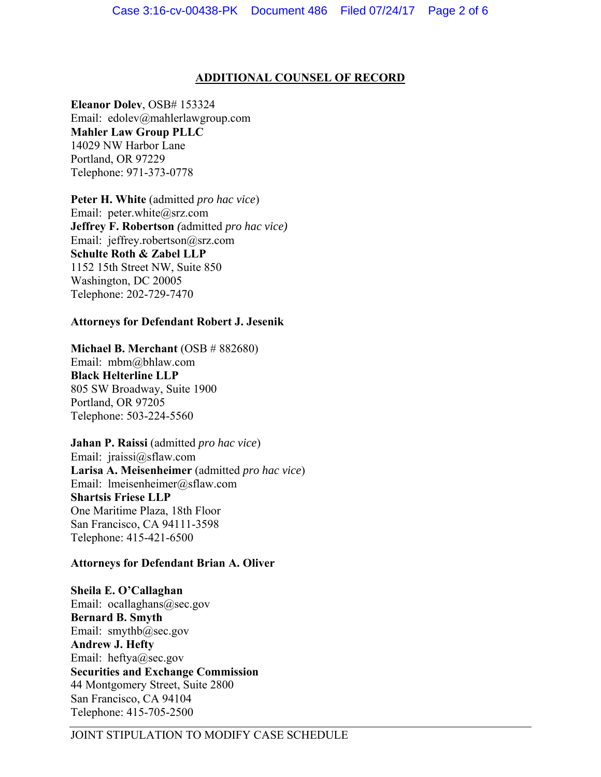### **ADDITIONAL COUNSEL OF RECORD**

**Eleanor Dolev**, OSB# 153324 Email: edolev@mahlerlawgroup.com **Mahler Law Group PLLC**  14029 NW Harbor Lane Portland, OR 97229 Telephone: 971-373-0778

**Peter H. White** (admitted *pro hac vice*) Email: peter.white@srz.com **Jeffrey F. Robertson** *(*admitted *pro hac vice)* Email: jeffrey.robertson@srz.com **Schulte Roth & Zabel LLP** 1152 15th Street NW, Suite 850 Washington, DC 20005 Telephone: 202-729-7470

### **Attorneys for Defendant Robert J. Jesenik**

**Michael B. Merchant** (OSB # 882680)

Email: mbm@bhlaw.com **Black Helterline LLP**  805 SW Broadway, Suite 1900 Portland, OR 97205 Telephone: 503-224-5560

**Jahan P. Raissi** (admitted *pro hac vice*) Email: jraissi@sflaw.com **Larisa A. Meisenheimer** (admitted *pro hac vice*) Email: lmeisenheimer@sflaw.com **Shartsis Friese LLP**  One Maritime Plaza, 18th Floor San Francisco, CA 94111-3598 Telephone: 415-421-6500

### **Attorneys for Defendant Brian A. Oliver**

**Sheila E. O'Callaghan**  Email: ocallaghans@sec.gov

**Bernard B. Smyth**  Email: smythb@sec.gov **Andrew J. Hefty**  Email: heftya@sec.gov **Securities and Exchange Commission**  44 Montgomery Street, Suite 2800 San Francisco, CA 94104 Telephone: 415-705-2500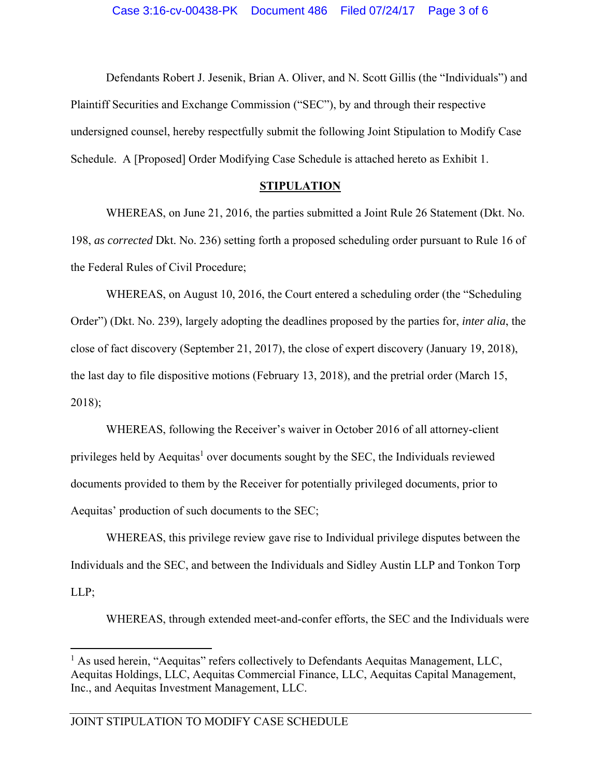Defendants Robert J. Jesenik, Brian A. Oliver, and N. Scott Gillis (the "Individuals") and Plaintiff Securities and Exchange Commission ("SEC"), by and through their respective undersigned counsel, hereby respectfully submit the following Joint Stipulation to Modify Case Schedule. A [Proposed] Order Modifying Case Schedule is attached hereto as Exhibit 1.

#### **STIPULATION**

WHEREAS, on June 21, 2016, the parties submitted a Joint Rule 26 Statement (Dkt. No. 198, *as corrected* Dkt. No. 236) setting forth a proposed scheduling order pursuant to Rule 16 of the Federal Rules of Civil Procedure;

WHEREAS, on August 10, 2016, the Court entered a scheduling order (the "Scheduling Order") (Dkt. No. 239), largely adopting the deadlines proposed by the parties for, *inter alia*, the close of fact discovery (September 21, 2017), the close of expert discovery (January 19, 2018), the last day to file dispositive motions (February 13, 2018), and the pretrial order (March 15, 2018);

WHEREAS, following the Receiver's waiver in October 2016 of all attorney-client privileges held by Aequitas<sup>1</sup> over documents sought by the SEC, the Individuals reviewed documents provided to them by the Receiver for potentially privileged documents, prior to Aequitas' production of such documents to the SEC;

WHEREAS, this privilege review gave rise to Individual privilege disputes between the Individuals and the SEC, and between the Individuals and Sidley Austin LLP and Tonkon Torp LLP;

WHEREAS, through extended meet-and-confer efforts, the SEC and the Individuals were

 $\overline{a}$ 

<sup>&</sup>lt;sup>1</sup> As used herein, "Aequitas" refers collectively to Defendants Aequitas Management, LLC, Aequitas Holdings, LLC, Aequitas Commercial Finance, LLC, Aequitas Capital Management, Inc., and Aequitas Investment Management, LLC.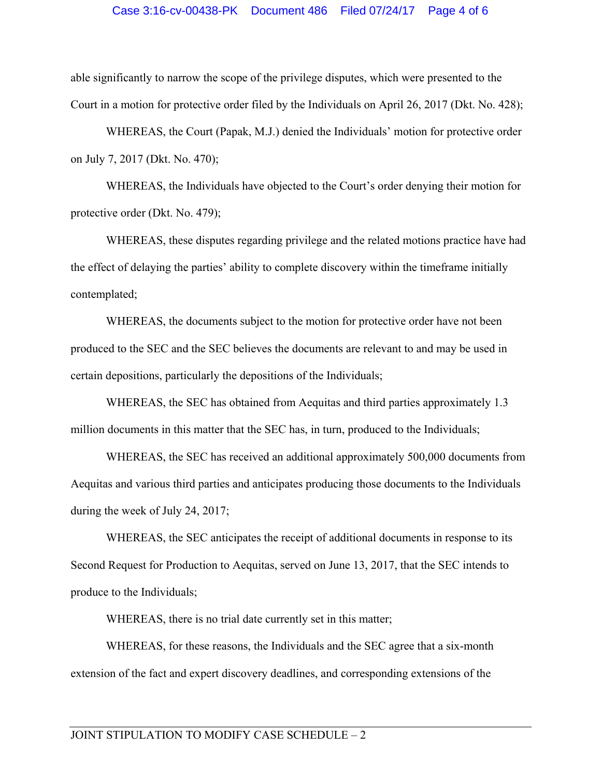#### Case 3:16-cv-00438-PK Document 486 Filed 07/24/17 Page 4 of 6

able significantly to narrow the scope of the privilege disputes, which were presented to the Court in a motion for protective order filed by the Individuals on April 26, 2017 (Dkt. No. 428);

WHEREAS, the Court (Papak, M.J.) denied the Individuals' motion for protective order on July 7, 2017 (Dkt. No. 470);

WHEREAS, the Individuals have objected to the Court's order denying their motion for protective order (Dkt. No. 479);

WHEREAS, these disputes regarding privilege and the related motions practice have had the effect of delaying the parties' ability to complete discovery within the timeframe initially contemplated;

WHEREAS, the documents subject to the motion for protective order have not been produced to the SEC and the SEC believes the documents are relevant to and may be used in certain depositions, particularly the depositions of the Individuals;

WHEREAS, the SEC has obtained from Aequitas and third parties approximately 1.3 million documents in this matter that the SEC has, in turn, produced to the Individuals;

WHEREAS, the SEC has received an additional approximately 500,000 documents from Aequitas and various third parties and anticipates producing those documents to the Individuals during the week of July 24, 2017;

WHEREAS, the SEC anticipates the receipt of additional documents in response to its Second Request for Production to Aequitas, served on June 13, 2017, that the SEC intends to produce to the Individuals;

WHEREAS, there is no trial date currently set in this matter;

WHEREAS, for these reasons, the Individuals and the SEC agree that a six-month extension of the fact and expert discovery deadlines, and corresponding extensions of the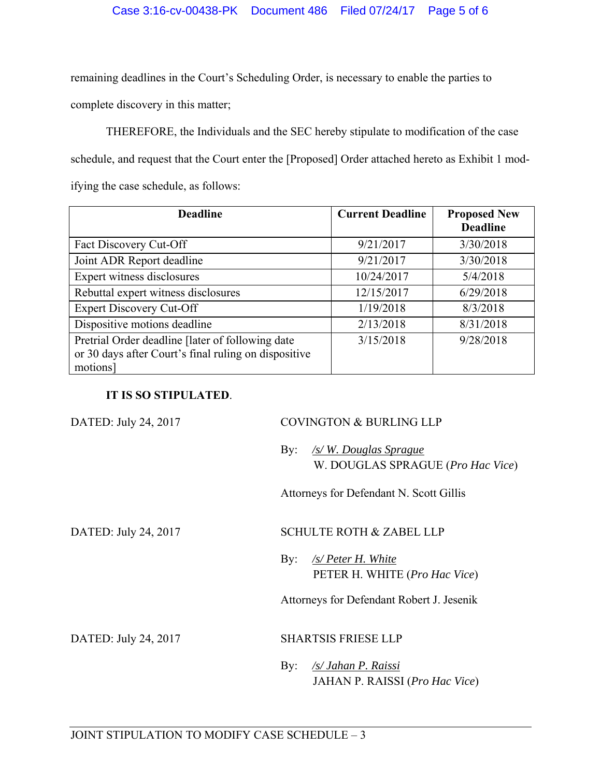### Case 3:16-cv-00438-PK Document 486 Filed 07/24/17 Page 5 of 6

remaining deadlines in the Court's Scheduling Order, is necessary to enable the parties to complete discovery in this matter;

THEREFORE, the Individuals and the SEC hereby stipulate to modification of the case schedule, and request that the Court enter the [Proposed] Order attached hereto as Exhibit 1 modifying the case schedule, as follows:

| <b>Deadline</b>                                      | <b>Current Deadline</b> | <b>Proposed New</b> |
|------------------------------------------------------|-------------------------|---------------------|
|                                                      |                         | <b>Deadline</b>     |
| Fact Discovery Cut-Off                               | 9/21/2017               | 3/30/2018           |
| Joint ADR Report deadline                            | 9/21/2017               | 3/30/2018           |
| Expert witness disclosures                           | 10/24/2017              | 5/4/2018            |
| Rebuttal expert witness disclosures                  | 12/15/2017              | 6/29/2018           |
| <b>Expert Discovery Cut-Off</b>                      | 1/19/2018               | 8/3/2018            |
| Dispositive motions deadline                         | 2/13/2018               | 8/31/2018           |
| Pretrial Order deadline [later of following date     | 3/15/2018               | 9/28/2018           |
| or 30 days after Court's final ruling on dispositive |                         |                     |
| motions]                                             |                         |                     |

### **IT IS SO STIPULATED**.

| DATED: July 24, 2017 | <b>COVINGTON &amp; BURLING LLP</b>                                                |
|----------------------|-----------------------------------------------------------------------------------|
|                      | <u>/s/W. Douglas Sprague</u><br>By:<br>W. DOUGLAS SPRAGUE ( <i>Pro Hac Vice</i> ) |
|                      | Attorneys for Defendant N. Scott Gillis                                           |
| DATED: July 24, 2017 | <b>SCHULTE ROTH &amp; ZABEL LLP</b>                                               |
|                      | $\frac{1}{S}$ Peter H. White<br>By:<br>PETER H. WHITE (Pro Hac Vice)              |
|                      | Attorneys for Defendant Robert J. Jesenik                                         |
| DATED: July 24, 2017 | <b>SHARTSIS FRIESE LLP</b>                                                        |
|                      | /s/ Jahan P. Raissi<br>By:<br><b>JAHAN P. RAISSI</b> ( <i>Pro Hac Vice</i> )      |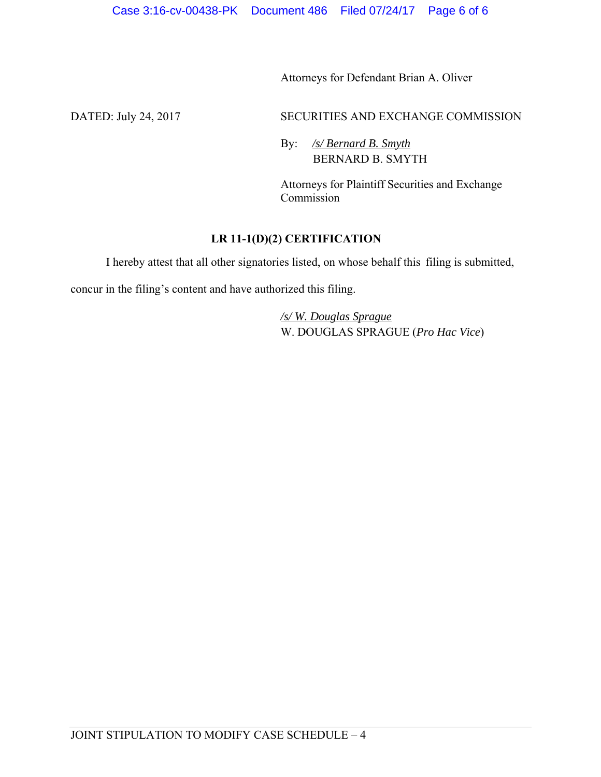Attorneys for Defendant Brian A. Oliver

DATED: July 24, 2017 SECURITIES AND EXCHANGE COMMISSION

By: */s/ Bernard B. Smyth*  BERNARD B. SMYTH

Attorneys for Plaintiff Securities and Exchange Commission

## **LR 11-1(D)(2) CERTIFICATION**

I hereby attest that all other signatories listed, on whose behalf this filing is submitted,

concur in the filing's content and have authorized this filing.

*/s/ W. Douglas Sprague*  W. DOUGLAS SPRAGUE (*Pro Hac Vice*)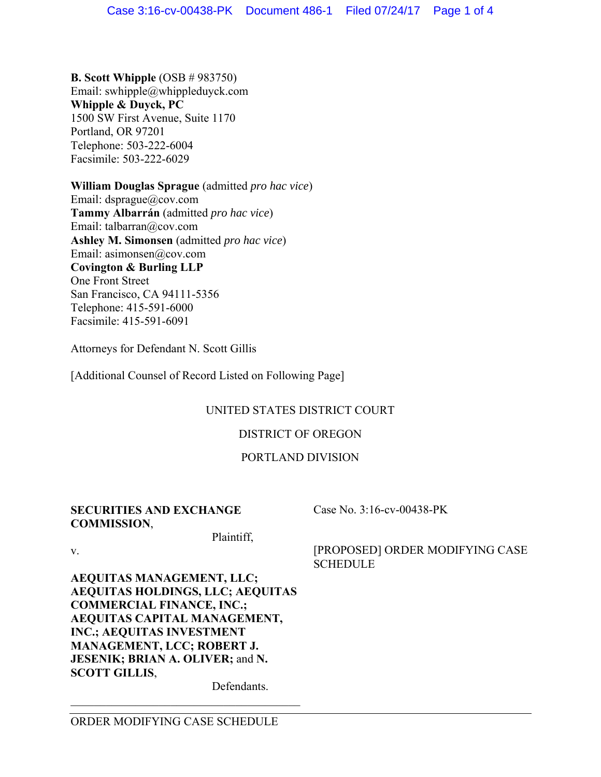**B. Scott Whipple** (OSB # 983750) Email: swhipple@whippleduyck.com **Whipple & Duyck, PC**  1500 SW First Avenue, Suite 1170 Portland, OR 97201 Telephone: 503-222-6004 Facsimile: 503-222-6029

**William Douglas Sprague** (admitted *pro hac vice*) Email: dsprague@cov.com **Tammy Albarrán** (admitted *pro hac vice*) Email: talbarran@cov.com **Ashley M. Simonsen** (admitted *pro hac vice*) Email: asimonsen@cov.com **Covington & Burling LLP**  One Front Street San Francisco, CA 94111-5356 Telephone: 415-591-6000 Facsimile: 415-591-6091

Attorneys for Defendant N. Scott Gillis

[Additional Counsel of Record Listed on Following Page]

# UNITED STATES DISTRICT COURT

## DISTRICT OF OREGON

### PORTLAND DIVISION

### **SECURITIES AND EXCHANGE COMMISSION**,

Case No. 3:16-cv-00438-PK

**SCHEDULE** 

[PROPOSED] ORDER MODIFYING CASE

v.

**AEQUITAS MANAGEMENT, LLC; AEQUITAS HOLDINGS, LLC; AEQUITAS COMMERCIAL FINANCE, INC.; AEQUITAS CAPITAL MANAGEMENT, INC.; AEQUITAS INVESTMENT MANAGEMENT, LCC; ROBERT J. JESENIK; BRIAN A. OLIVER;** and **N. SCOTT GILLIS**,

Defendants.

Plaintiff,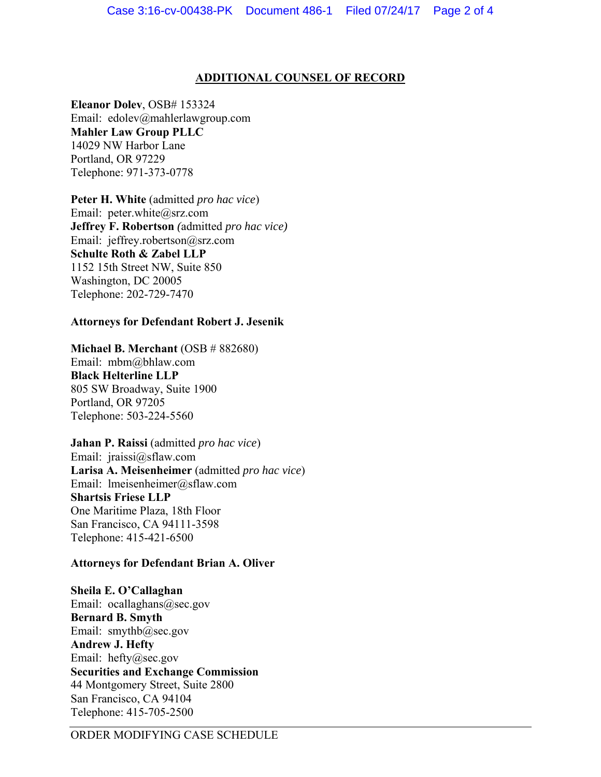### **ADDITIONAL COUNSEL OF RECORD**

**Eleanor Dolev**, OSB# 153324 Email: edolev@mahlerlawgroup.com **Mahler Law Group PLLC**  14029 NW Harbor Lane Portland, OR 97229 Telephone: 971-373-0778

**Peter H. White** (admitted *pro hac vice*) Email: peter.white@srz.com **Jeffrey F. Robertson** *(*admitted *pro hac vice)* Email: jeffrey.robertson@srz.com **Schulte Roth & Zabel LLP** 1152 15th Street NW, Suite 850 Washington, DC 20005 Telephone: 202-729-7470

### **Attorneys for Defendant Robert J. Jesenik**

**Michael B. Merchant** (OSB # 882680)

Email: mbm@bhlaw.com **Black Helterline LLP**  805 SW Broadway, Suite 1900 Portland, OR 97205 Telephone: 503-224-5560

**Jahan P. Raissi** (admitted *pro hac vice*) Email: jraissi@sflaw.com **Larisa A. Meisenheimer** (admitted *pro hac vice*) Email: lmeisenheimer@sflaw.com **Shartsis Friese LLP**  One Maritime Plaza, 18th Floor San Francisco, CA 94111-3598 Telephone: 415-421-6500

### **Attorneys for Defendant Brian A. Oliver**

**Sheila E. O'Callaghan**  Email: ocallaghans@sec.gov **Bernard B. Smyth**  Email: smythb@sec.gov **Andrew J. Hefty** Email: hefty@sec.gov **Securities and Exchange Commission**  44 Montgomery Street, Suite 2800 San Francisco, CA 94104 Telephone: 415-705-2500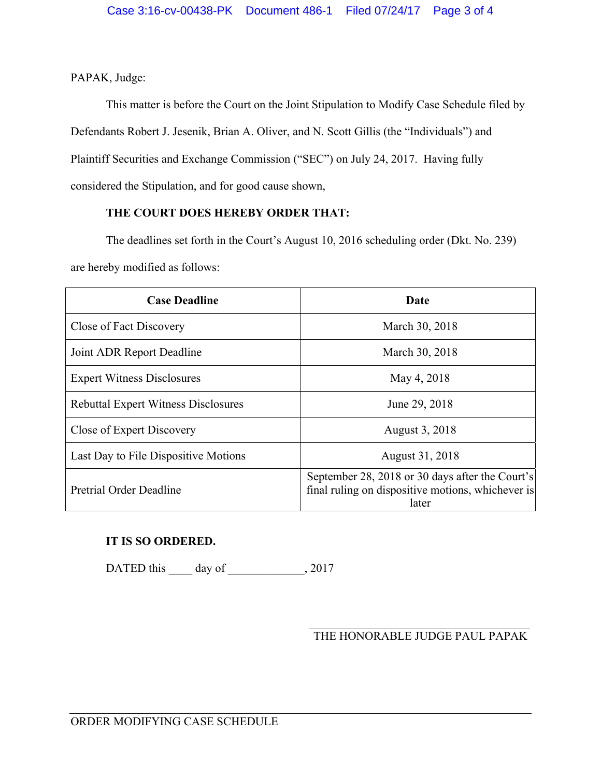PAPAK, Judge:

This matter is before the Court on the Joint Stipulation to Modify Case Schedule filed by Defendants Robert J. Jesenik, Brian A. Oliver, and N. Scott Gillis (the "Individuals") and Plaintiff Securities and Exchange Commission ("SEC") on July 24, 2017. Having fully considered the Stipulation, and for good cause shown,

### **THE COURT DOES HEREBY ORDER THAT:**

The deadlines set forth in the Court's August 10, 2016 scheduling order (Dkt. No. 239) are hereby modified as follows:

| <b>Case Deadline</b>                       | Date                                                                                                          |  |
|--------------------------------------------|---------------------------------------------------------------------------------------------------------------|--|
| Close of Fact Discovery                    | March 30, 2018                                                                                                |  |
| Joint ADR Report Deadline                  | March 30, 2018                                                                                                |  |
| <b>Expert Witness Disclosures</b>          | May 4, 2018                                                                                                   |  |
| <b>Rebuttal Expert Witness Disclosures</b> | June 29, 2018                                                                                                 |  |
| Close of Expert Discovery                  | August 3, 2018                                                                                                |  |
| Last Day to File Dispositive Motions       | August 31, 2018                                                                                               |  |
| Pretrial Order Deadline                    | September 28, 2018 or 30 days after the Court's<br>final ruling on dispositive motions, whichever is<br>later |  |

## **IT IS SO ORDERED.**

DATED this \_\_\_\_\_ day of \_\_\_\_\_\_\_\_\_\_\_\_\_, 2017

 $\overline{a}$ THE HONORABLE JUDGE PAUL PAPAK